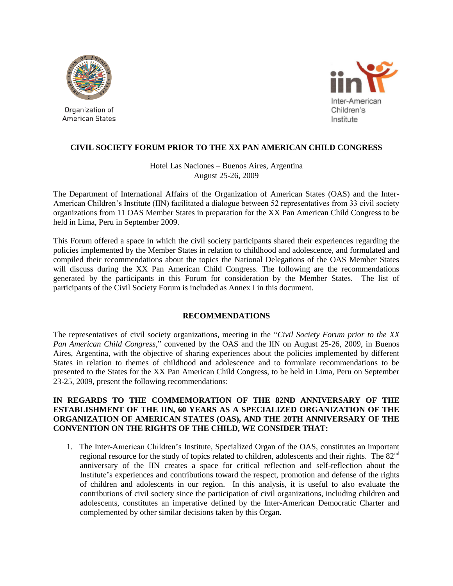

Organization of American States



# **CIVIL SOCIETY FORUM PRIOR TO THE XX PAN AMERICAN CHILD CONGRESS**

Hotel Las Naciones – Buenos Aires, Argentina August 25-26, 2009

The Department of International Affairs of the Organization of American States (OAS) and the Inter-American Children's Institute (IIN) facilitated a dialogue between 52 representatives from 33 civil society organizations from 11 OAS Member States in preparation for the XX Pan American Child Congress to be held in Lima, Peru in September 2009.

This Forum offered a space in which the civil society participants shared their experiences regarding the policies implemented by the Member States in relation to childhood and adolescence, and formulated and compiled their recommendations about the topics the National Delegations of the OAS Member States will discuss during the XX Pan American Child Congress. The following are the recommendations generated by the participants in this Forum for consideration by the Member States. The list of participants of the Civil Society Forum is included as Annex I in this document.

# **RECOMMENDATIONS**

The representatives of civil society organizations, meeting in the "*Civil Society Forum prior to the XX Pan American Child Congress*," convened by the OAS and the IIN on August 25-26, 2009, in Buenos Aires, Argentina, with the objective of sharing experiences about the policies implemented by different States in relation to themes of childhood and adolescence and to formulate recommendations to be presented to the States for the XX Pan American Child Congress, to be held in Lima, Peru on September 23-25, 2009, present the following recommendations:

## **IN REGARDS TO THE COMMEMORATION OF THE 82ND ANNIVERSARY OF THE ESTABLISHMENT OF THE IIN, 60 YEARS AS A SPECIALIZED ORGANIZATION OF THE ORGANIZATION OF AMERICAN STATES (OAS), AND THE 20TH ANNIVERSARY OF THE CONVENTION ON THE RIGHTS OF THE CHILD, WE CONSIDER THAT:**

1. The Inter-American Children's Institute, Specialized Organ of the OAS, constitutes an important regional resource for the study of topics related to children, adolescents and their rights. The 82<sup>nd</sup> anniversary of the IIN creates a space for critical reflection and self-reflection about the Institute's experiences and contributions toward the respect, promotion and defense of the rights of children and adolescents in our region. In this analysis, it is useful to also evaluate the contributions of civil society since the participation of civil organizations, including children and adolescents, constitutes an imperative defined by the Inter-American Democratic Charter and complemented by other similar decisions taken by this Organ.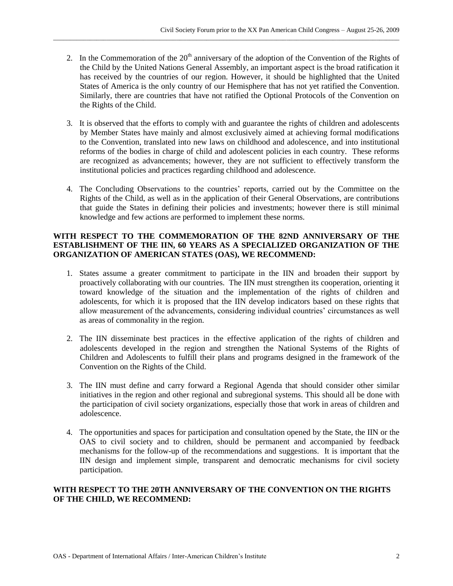2. In the Commemoration of the  $20<sup>th</sup>$  anniversary of the adoption of the Convention of the Rights of the Child by the United Nations General Assembly, an important aspect is the broad ratification it has received by the countries of our region. However, it should be highlighted that the United States of America is the only country of our Hemisphere that has not yet ratified the Convention. Similarly, there are countries that have not ratified the Optional Protocols of the Convention on the Rights of the Child.

\_\_\_\_\_\_\_\_\_\_\_\_\_\_\_\_\_\_\_\_\_\_\_\_\_\_\_\_\_\_\_\_\_\_\_\_\_\_\_\_\_\_\_\_\_\_\_\_\_\_\_\_\_\_\_\_\_\_\_\_\_\_\_\_\_\_\_\_\_\_\_\_\_\_\_\_\_\_\_\_\_\_\_\_\_\_\_\_\_\_\_\_\_\_\_\_\_\_\_\_\_\_\_\_

- 3. It is observed that the efforts to comply with and guarantee the rights of children and adolescents by Member States have mainly and almost exclusively aimed at achieving formal modifications to the Convention, translated into new laws on childhood and adolescence, and into institutional reforms of the bodies in charge of child and adolescent policies in each country. These reforms are recognized as advancements; however, they are not sufficient to effectively transform the institutional policies and practices regarding childhood and adolescence.
- 4. The Concluding Observations to the countries' reports, carried out by the Committee on the Rights of the Child, as well as in the application of their General Observations, are contributions that guide the States in defining their policies and investments; however there is still minimal knowledge and few actions are performed to implement these norms.

# **WITH RESPECT TO THE COMMEMORATION OF THE 82ND ANNIVERSARY OF THE ESTABLISHMENT OF THE IIN, 60 YEARS AS A SPECIALIZED ORGANIZATION OF THE ORGANIZATION OF AMERICAN STATES (OAS), WE RECOMMEND:**

- 1. States assume a greater commitment to participate in the IIN and broaden their support by proactively collaborating with our countries. The IIN must strengthen its cooperation, orienting it toward knowledge of the situation and the implementation of the rights of children and adolescents, for which it is proposed that the IIN develop indicators based on these rights that allow measurement of the advancements, considering individual countries' circumstances as well as areas of commonality in the region.
- 2. The IIN disseminate best practices in the effective application of the rights of children and adolescents developed in the region and strengthen the National Systems of the Rights of Children and Adolescents to fulfill their plans and programs designed in the framework of the Convention on the Rights of the Child.
- 3. The IIN must define and carry forward a Regional Agenda that should consider other similar initiatives in the region and other regional and subregional systems. This should all be done with the participation of civil society organizations, especially those that work in areas of children and adolescence.
- 4. The opportunities and spaces for participation and consultation opened by the State, the IIN or the OAS to civil society and to children, should be permanent and accompanied by feedback mechanisms for the follow-up of the recommendations and suggestions. It is important that the IIN design and implement simple, transparent and democratic mechanisms for civil society participation.

# **WITH RESPECT TO THE 20TH ANNIVERSARY OF THE CONVENTION ON THE RIGHTS OF THE CHILD, WE RECOMMEND:**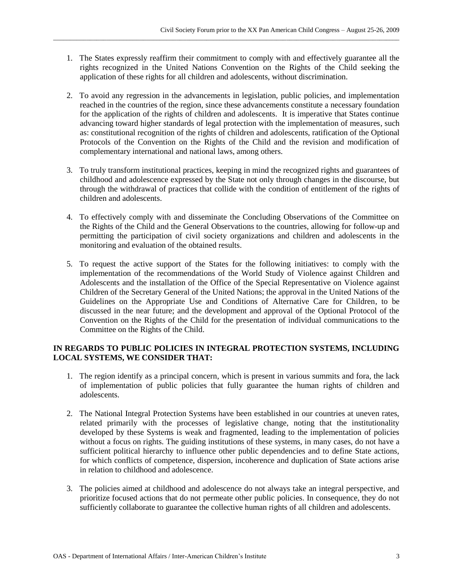1. The States expressly reaffirm their commitment to comply with and effectively guarantee all the rights recognized in the United Nations Convention on the Rights of the Child seeking the application of these rights for all children and adolescents, without discrimination.

\_\_\_\_\_\_\_\_\_\_\_\_\_\_\_\_\_\_\_\_\_\_\_\_\_\_\_\_\_\_\_\_\_\_\_\_\_\_\_\_\_\_\_\_\_\_\_\_\_\_\_\_\_\_\_\_\_\_\_\_\_\_\_\_\_\_\_\_\_\_\_\_\_\_\_\_\_\_\_\_\_\_\_\_\_\_\_\_\_\_\_\_\_\_\_\_\_\_\_\_\_\_\_\_

- 2. To avoid any regression in the advancements in legislation, public policies, and implementation reached in the countries of the region, since these advancements constitute a necessary foundation for the application of the rights of children and adolescents. It is imperative that States continue advancing toward higher standards of legal protection with the implementation of measures, such as: constitutional recognition of the rights of children and adolescents, ratification of the Optional Protocols of the Convention on the Rights of the Child and the revision and modification of complementary international and national laws, among others.
- 3. To truly transform institutional practices, keeping in mind the recognized rights and guarantees of childhood and adolescence expressed by the State not only through changes in the discourse, but through the withdrawal of practices that collide with the condition of entitlement of the rights of children and adolescents.
- 4. To effectively comply with and disseminate the Concluding Observations of the Committee on the Rights of the Child and the General Observations to the countries, allowing for follow-up and permitting the participation of civil society organizations and children and adolescents in the monitoring and evaluation of the obtained results.
- 5. To request the active support of the States for the following initiatives: to comply with the implementation of the recommendations of the World Study of Violence against Children and Adolescents and the installation of the Office of the Special Representative on Violence against Children of the Secretary General of the United Nations; the approval in the United Nations of the Guidelines on the Appropriate Use and Conditions of Alternative Care for Children, to be discussed in the near future; and the development and approval of the Optional Protocol of the Convention on the Rights of the Child for the presentation of individual communications to the Committee on the Rights of the Child.

# **IN REGARDS TO PUBLIC POLICIES IN INTEGRAL PROTECTION SYSTEMS, INCLUDING LOCAL SYSTEMS, WE CONSIDER THAT:**

- 1. The region identify as a principal concern, which is present in various summits and fora, the lack of implementation of public policies that fully guarantee the human rights of children and adolescents.
- 2. The National Integral Protection Systems have been established in our countries at uneven rates, related primarily with the processes of legislative change, noting that the institutionality developed by these Systems is weak and fragmented, leading to the implementation of policies without a focus on rights. The guiding institutions of these systems, in many cases, do not have a sufficient political hierarchy to influence other public dependencies and to define State actions, for which conflicts of competence, dispersion, incoherence and duplication of State actions arise in relation to childhood and adolescence.
- 3. The policies aimed at childhood and adolescence do not always take an integral perspective, and prioritize focused actions that do not permeate other public policies. In consequence, they do not sufficiently collaborate to guarantee the collective human rights of all children and adolescents.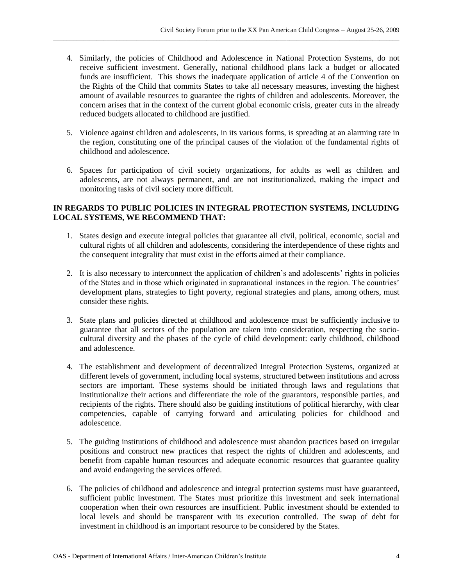4. Similarly, the policies of Childhood and Adolescence in National Protection Systems, do not receive sufficient investment. Generally, national childhood plans lack a budget or allocated funds are insufficient. This shows the inadequate application of article 4 of the Convention on the Rights of the Child that commits States to take all necessary measures, investing the highest amount of available resources to guarantee the rights of children and adolescents. Moreover, the concern arises that in the context of the current global economic crisis, greater cuts in the already reduced budgets allocated to childhood are justified.

\_\_\_\_\_\_\_\_\_\_\_\_\_\_\_\_\_\_\_\_\_\_\_\_\_\_\_\_\_\_\_\_\_\_\_\_\_\_\_\_\_\_\_\_\_\_\_\_\_\_\_\_\_\_\_\_\_\_\_\_\_\_\_\_\_\_\_\_\_\_\_\_\_\_\_\_\_\_\_\_\_\_\_\_\_\_\_\_\_\_\_\_\_\_\_\_\_\_\_\_\_\_\_\_

- 5. Violence against children and adolescents, in its various forms, is spreading at an alarming rate in the region, constituting one of the principal causes of the violation of the fundamental rights of childhood and adolescence.
- 6. Spaces for participation of civil society organizations, for adults as well as children and adolescents, are not always permanent, and are not institutionalized, making the impact and monitoring tasks of civil society more difficult.

# **IN REGARDS TO PUBLIC POLICIES IN INTEGRAL PROTECTION SYSTEMS, INCLUDING LOCAL SYSTEMS, WE RECOMMEND THAT:**

- 1. States design and execute integral policies that guarantee all civil, political, economic, social and cultural rights of all children and adolescents, considering the interdependence of these rights and the consequent integrality that must exist in the efforts aimed at their compliance.
- 2. It is also necessary to interconnect the application of children's and adolescents' rights in policies of the States and in those which originated in supranational instances in the region. The countries' development plans, strategies to fight poverty, regional strategies and plans, among others, must consider these rights.
- 3. State plans and policies directed at childhood and adolescence must be sufficiently inclusive to guarantee that all sectors of the population are taken into consideration, respecting the sociocultural diversity and the phases of the cycle of child development: early childhood, childhood and adolescence.
- 4. The establishment and development of decentralized Integral Protection Systems, organized at different levels of government, including local systems, structured between institutions and across sectors are important. These systems should be initiated through laws and regulations that institutionalize their actions and differentiate the role of the guarantors, responsible parties, and recipients of the rights. There should also be guiding institutions of political hierarchy, with clear competencies, capable of carrying forward and articulating policies for childhood and adolescence.
- 5. The guiding institutions of childhood and adolescence must abandon practices based on irregular positions and construct new practices that respect the rights of children and adolescents, and benefit from capable human resources and adequate economic resources that guarantee quality and avoid endangering the services offered.
- 6. The policies of childhood and adolescence and integral protection systems must have guaranteed, sufficient public investment. The States must prioritize this investment and seek international cooperation when their own resources are insufficient. Public investment should be extended to local levels and should be transparent with its execution controlled. The swap of debt for investment in childhood is an important resource to be considered by the States.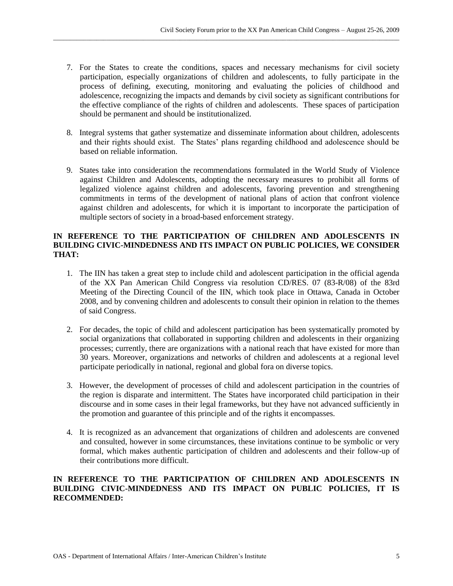7. For the States to create the conditions, spaces and necessary mechanisms for civil society participation, especially organizations of children and adolescents, to fully participate in the process of defining, executing, monitoring and evaluating the policies of childhood and adolescence, recognizing the impacts and demands by civil society as significant contributions for the effective compliance of the rights of children and adolescents. These spaces of participation should be permanent and should be institutionalized.

\_\_\_\_\_\_\_\_\_\_\_\_\_\_\_\_\_\_\_\_\_\_\_\_\_\_\_\_\_\_\_\_\_\_\_\_\_\_\_\_\_\_\_\_\_\_\_\_\_\_\_\_\_\_\_\_\_\_\_\_\_\_\_\_\_\_\_\_\_\_\_\_\_\_\_\_\_\_\_\_\_\_\_\_\_\_\_\_\_\_\_\_\_\_\_\_\_\_\_\_\_\_\_\_

- 8. Integral systems that gather systematize and disseminate information about children, adolescents and their rights should exist. The States' plans regarding childhood and adolescence should be based on reliable information.
- 9. States take into consideration the recommendations formulated in the World Study of Violence against Children and Adolescents, adopting the necessary measures to prohibit all forms of legalized violence against children and adolescents, favoring prevention and strengthening commitments in terms of the development of national plans of action that confront violence against children and adolescents, for which it is important to incorporate the participation of multiple sectors of society in a broad-based enforcement strategy.

# **IN REFERENCE TO THE PARTICIPATION OF CHILDREN AND ADOLESCENTS IN BUILDING CIVIC-MINDEDNESS AND ITS IMPACT ON PUBLIC POLICIES, WE CONSIDER THAT:**

- 1. The IIN has taken a great step to include child and adolescent participation in the official agenda of the XX Pan American Child Congress via resolution CD/RES. 07 (83-R/08) of the 83rd Meeting of the Directing Council of the IIN, which took place in Ottawa, Canada in October 2008, and by convening children and adolescents to consult their opinion in relation to the themes of said Congress.
- 2. For decades, the topic of child and adolescent participation has been systematically promoted by social organizations that collaborated in supporting children and adolescents in their organizing processes; currently, there are organizations with a national reach that have existed for more than 30 years. Moreover, organizations and networks of children and adolescents at a regional level participate periodically in national, regional and global fora on diverse topics.
- 3. However, the development of processes of child and adolescent participation in the countries of the region is disparate and intermittent. The States have incorporated child participation in their discourse and in some cases in their legal frameworks, but they have not advanced sufficiently in the promotion and guarantee of this principle and of the rights it encompasses.
- 4. It is recognized as an advancement that organizations of children and adolescents are convened and consulted, however in some circumstances, these invitations continue to be symbolic or very formal, which makes authentic participation of children and adolescents and their follow-up of their contributions more difficult.

## **IN REFERENCE TO THE PARTICIPATION OF CHILDREN AND ADOLESCENTS IN BUILDING CIVIC-MINDEDNESS AND ITS IMPACT ON PUBLIC POLICIES, IT IS RECOMMENDED:**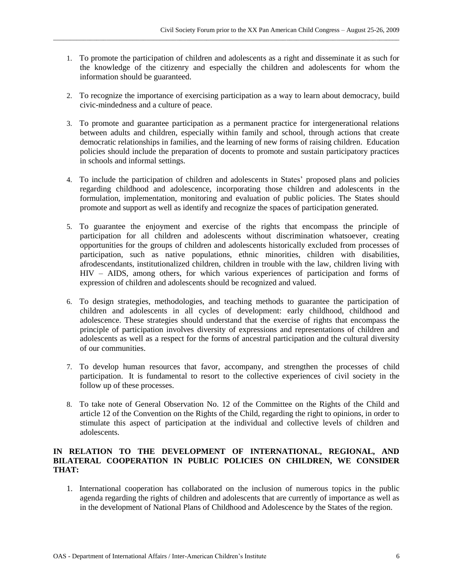1. To promote the participation of children and adolescents as a right and disseminate it as such for the knowledge of the citizenry and especially the children and adolescents for whom the information should be guaranteed.

\_\_\_\_\_\_\_\_\_\_\_\_\_\_\_\_\_\_\_\_\_\_\_\_\_\_\_\_\_\_\_\_\_\_\_\_\_\_\_\_\_\_\_\_\_\_\_\_\_\_\_\_\_\_\_\_\_\_\_\_\_\_\_\_\_\_\_\_\_\_\_\_\_\_\_\_\_\_\_\_\_\_\_\_\_\_\_\_\_\_\_\_\_\_\_\_\_\_\_\_\_\_\_\_

- 2. To recognize the importance of exercising participation as a way to learn about democracy, build civic-mindedness and a culture of peace.
- 3. To promote and guarantee participation as a permanent practice for intergenerational relations between adults and children, especially within family and school, through actions that create democratic relationships in families, and the learning of new forms of raising children. Education policies should include the preparation of docents to promote and sustain participatory practices in schools and informal settings.
- 4. To include the participation of children and adolescents in States' proposed plans and policies regarding childhood and adolescence, incorporating those children and adolescents in the formulation, implementation, monitoring and evaluation of public policies. The States should promote and support as well as identify and recognize the spaces of participation generated.
- 5. To guarantee the enjoyment and exercise of the rights that encompass the principle of participation for all children and adolescents without discrimination whatsoever, creating opportunities for the groups of children and adolescents historically excluded from processes of participation, such as native populations, ethnic minorities, children with disabilities, afrodescendants, institutionalized children, children in trouble with the law, children living with HIV – AIDS, among others, for which various experiences of participation and forms of expression of children and adolescents should be recognized and valued.
- 6. To design strategies, methodologies, and teaching methods to guarantee the participation of children and adolescents in all cycles of development: early childhood, childhood and adolescence. These strategies should understand that the exercise of rights that encompass the principle of participation involves diversity of expressions and representations of children and adolescents as well as a respect for the forms of ancestral participation and the cultural diversity of our communities.
- 7. To develop human resources that favor, accompany, and strengthen the processes of child participation. It is fundamental to resort to the collective experiences of civil society in the follow up of these processes.
- 8. To take note of General Observation No. 12 of the Committee on the Rights of the Child and article 12 of the Convention on the Rights of the Child, regarding the right to opinions, in order to stimulate this aspect of participation at the individual and collective levels of children and adolescents.

# **IN RELATION TO THE DEVELOPMENT OF INTERNATIONAL, REGIONAL, AND BILATERAL COOPERATION IN PUBLIC POLICIES ON CHILDREN, WE CONSIDER THAT:**

1. International cooperation has collaborated on the inclusion of numerous topics in the public agenda regarding the rights of children and adolescents that are currently of importance as well as in the development of National Plans of Childhood and Adolescence by the States of the region.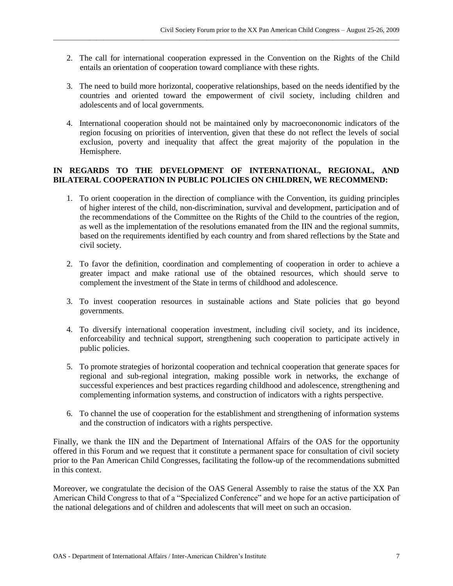2. The call for international cooperation expressed in the Convention on the Rights of the Child entails an orientation of cooperation toward compliance with these rights.

\_\_\_\_\_\_\_\_\_\_\_\_\_\_\_\_\_\_\_\_\_\_\_\_\_\_\_\_\_\_\_\_\_\_\_\_\_\_\_\_\_\_\_\_\_\_\_\_\_\_\_\_\_\_\_\_\_\_\_\_\_\_\_\_\_\_\_\_\_\_\_\_\_\_\_\_\_\_\_\_\_\_\_\_\_\_\_\_\_\_\_\_\_\_\_\_\_\_\_\_\_\_\_\_

- 3. The need to build more horizontal, cooperative relationships, based on the needs identified by the countries and oriented toward the empowerment of civil society, including children and adolescents and of local governments.
- 4. International cooperation should not be maintained only by macroecononomic indicators of the region focusing on priorities of intervention, given that these do not reflect the levels of social exclusion, poverty and inequality that affect the great majority of the population in the Hemisphere.

# **IN REGARDS TO THE DEVELOPMENT OF INTERNATIONAL, REGIONAL, AND BILATERAL COOPERATION IN PUBLIC POLICIES ON CHILDREN, WE RECOMMEND:**

- 1. To orient cooperation in the direction of compliance with the Convention, its guiding principles of higher interest of the child, non-discrimination, survival and development, participation and of the recommendations of the Committee on the Rights of the Child to the countries of the region, as well as the implementation of the resolutions emanated from the IIN and the regional summits, based on the requirements identified by each country and from shared reflections by the State and civil society.
- 2. To favor the definition, coordination and complementing of cooperation in order to achieve a greater impact and make rational use of the obtained resources, which should serve to complement the investment of the State in terms of childhood and adolescence.
- 3. To invest cooperation resources in sustainable actions and State policies that go beyond governments.
- 4. To diversify international cooperation investment, including civil society, and its incidence, enforceability and technical support, strengthening such cooperation to participate actively in public policies.
- 5. To promote strategies of horizontal cooperation and technical cooperation that generate spaces for regional and sub-regional integration, making possible work in networks, the exchange of successful experiences and best practices regarding childhood and adolescence, strengthening and complementing information systems, and construction of indicators with a rights perspective.
- 6. To channel the use of cooperation for the establishment and strengthening of information systems and the construction of indicators with a rights perspective.

Finally, we thank the IIN and the Department of International Affairs of the OAS for the opportunity offered in this Forum and we request that it constitute a permanent space for consultation of civil society prior to the Pan American Child Congresses, facilitating the follow-up of the recommendations submitted in this context.

Moreover, we congratulate the decision of the OAS General Assembly to raise the status of the XX Pan American Child Congress to that of a "Specialized Conference" and we hope for an active participation of the national delegations and of children and adolescents that will meet on such an occasion.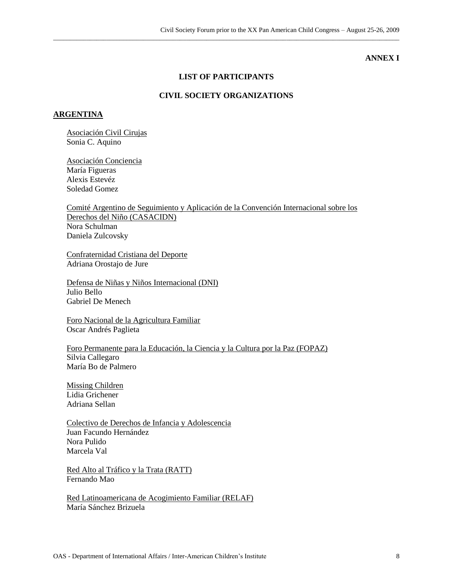#### **ANNEX I**

## **LIST OF PARTICIPANTS**

\_\_\_\_\_\_\_\_\_\_\_\_\_\_\_\_\_\_\_\_\_\_\_\_\_\_\_\_\_\_\_\_\_\_\_\_\_\_\_\_\_\_\_\_\_\_\_\_\_\_\_\_\_\_\_\_\_\_\_\_\_\_\_\_\_\_\_\_\_\_\_\_\_\_\_\_\_\_\_\_\_\_\_\_\_\_\_\_\_\_\_\_\_\_\_\_\_\_\_\_\_\_\_\_

# **CIVIL SOCIETY ORGANIZATIONS**

#### **ARGENTINA**

Asociación Civil Cirujas Sonia C. Aquino

Asociación Conciencia María Figueras Alexis Estevéz Soledad Gomez

Comité Argentino de Seguimiento y Aplicación de la Convención Internacional sobre los Derechos del Niño (CASACIDN) Nora Schulman Daniela Zulcovsky

Confraternidad Cristiana del Deporte Adriana Orostajo de Jure

Defensa de Niñas y Niños Internacional (DNI) Julio Bello Gabriel De Menech

Foro Nacional de la Agricultura Familiar Oscar Andrés Paglieta

Foro Permanente para la Educación, la Ciencia y la Cultura por la Paz (FOPAZ) Silvia Callegaro María Bo de Palmero

Missing Children Lidia Grichener Adriana Sellan

Colectivo de Derechos de Infancia y Adolescencia Juan Facundo Hernández Nora Pulido Marcela Val

Red Alto al Tráfico y la Trata (RATT) Fernando Mao

Red Latinoamericana de Acogimiento Familiar (RELAF) María Sánchez Brizuela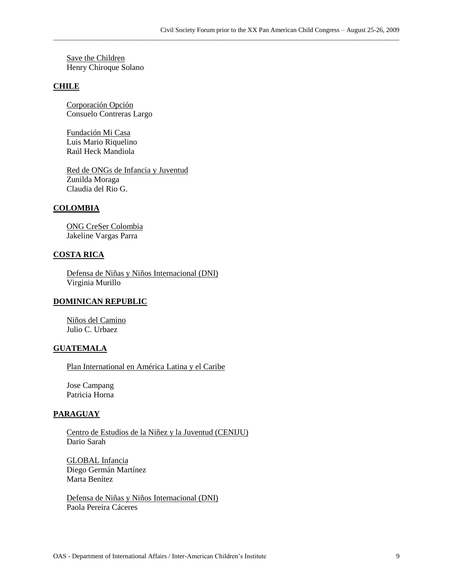\_\_\_\_\_\_\_\_\_\_\_\_\_\_\_\_\_\_\_\_\_\_\_\_\_\_\_\_\_\_\_\_\_\_\_\_\_\_\_\_\_\_\_\_\_\_\_\_\_\_\_\_\_\_\_\_\_\_\_\_\_\_\_\_\_\_\_\_\_\_\_\_\_\_\_\_\_\_\_\_\_\_\_\_\_\_\_\_\_\_\_\_\_\_\_\_\_\_\_\_\_\_\_\_

Save the Children Henry Chiroque Solano

## **CHILE**

Corporación Opción Consuelo Contreras Largo

Fundación Mi Casa Luis Mario Riquelino Raúl Heck Mandiola

Red de ONGs de Infancia y Juventud Zunilda Moraga Claudia del Rio G.

## **COLOMBIA**

ONG CreSer Colombia Jakeline Vargas Parra

## **COSTA RICA**

Defensa de Niñas y Niños Internacional (DNI) Virginia Murillo

#### **DOMINICAN REPUBLIC**

Niños del Camino Julio C. Urbaez

#### **GUATEMALA**

Plan International en América Latina y el Caribe

Jose Campang Patricia Horna

#### **PARAGUAY**

Centro de Estudios de la Niñez y la Juventud (CENIJU) Dario Sarah

GLOBAL Infancia Diego Germán Martínez Marta Benítez

Defensa de Niñas y Niños Internacional (DNI) Paola Pereira Cáceres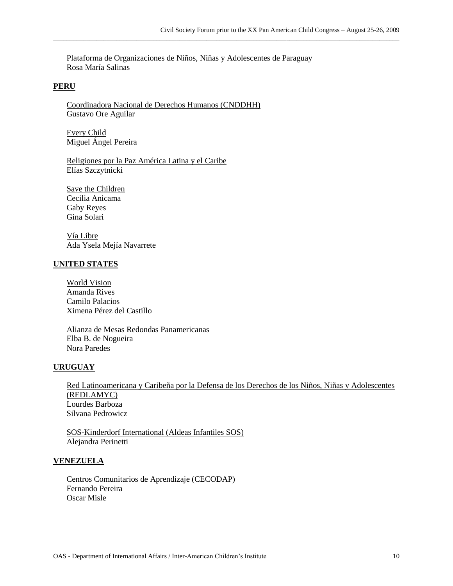Plataforma de Organizaciones de Niños, Niñas y Adolescentes de Paraguay Rosa María Salinas

\_\_\_\_\_\_\_\_\_\_\_\_\_\_\_\_\_\_\_\_\_\_\_\_\_\_\_\_\_\_\_\_\_\_\_\_\_\_\_\_\_\_\_\_\_\_\_\_\_\_\_\_\_\_\_\_\_\_\_\_\_\_\_\_\_\_\_\_\_\_\_\_\_\_\_\_\_\_\_\_\_\_\_\_\_\_\_\_\_\_\_\_\_\_\_\_\_\_\_\_\_\_\_\_

#### **PERU**

Coordinadora Nacional de Derechos Humanos (CNDDHH) Gustavo Ore Aguilar

Every Child Miguel Ángel Pereira

Religiones por la Paz América Latina y el Caribe Elías Szczytnicki

Save the Children Cecilia Anicama Gaby Reyes Gina Solari

Vía Libre Ada Ysela Mejía Navarrete

#### **UNITED STATES**

World Vision Amanda Rives Camilo Palacios Ximena Pérez del Castillo

Alianza de Mesas Redondas Panamericanas Elba B. de Nogueira Nora Paredes

## **URUGUAY**

Red Latinoamericana y Caribeña por la Defensa de los Derechos de los Niños, Niñas y Adolescentes (REDLAMYC) Lourdes Barboza Silvana Pedrowicz

SOS-Kinderdorf International (Aldeas Infantiles SOS) Alejandra Perinetti

#### **VENEZUELA**

Centros Comunitarios de Aprendizaje (CECODAP) Fernando Pereira Oscar Misle